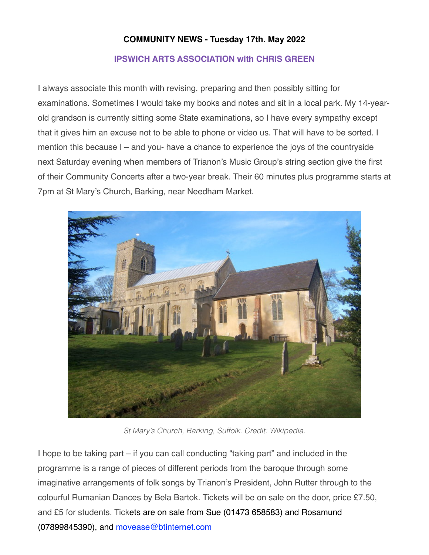## **COMMUNITY NEWS - Tuesday 17th. May 2022**

## **IPSWICH ARTS ASSOCIATION with CHRIS GREEN**

I always associate this month with revising, preparing and then possibly sitting for examinations. Sometimes I would take my books and notes and sit in a local park. My 14-yearold grandson is currently sitting some State examinations, so I have every sympathy except that it gives him an excuse not to be able to phone or video us. That will have to be sorted. I mention this because I – and you- have a chance to experience the joys of the countryside next Saturday evening when members of Trianon's Music Group's string section give the first of their Community Concerts after a two-year break. Their 60 minutes plus programme starts at 7pm at St Mary's Church, Barking, near Needham Market.



*St Mary's Church, Barking, Suffolk. Credit: Wikipedia.*

I hope to be taking part – if you can call conducting "taking part" and included in the programme is a range of pieces of different periods from the baroque through some imaginative arrangements of folk songs by Trianon's President, John Rutter through to the colourful Rumanian Dances by Bela Bartok. Tickets will be on sale on the door, price £7.50, and £5 for students. Tickets are on sale from Sue (01473 658583) and Rosamund (07899845390), and [movease@btinternet.com](mailto:movease@btinternet.com)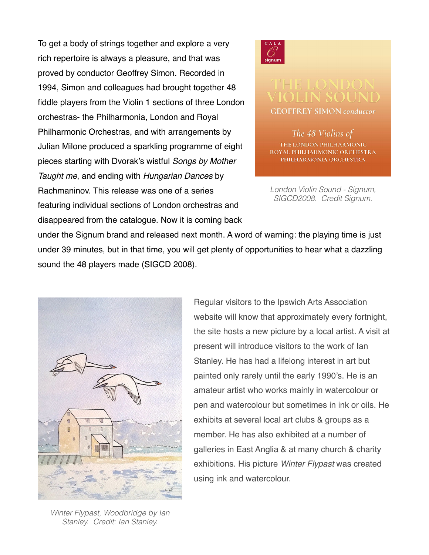To get a body of strings together and explore a very rich repertoire is always a pleasure, and that was proved by conductor Geoffrey Simon. Recorded in 1994, Simon and colleagues had brought together 48 fiddle players from the Violin 1 sections of three London orchestras- the Philharmonia, London and Royal Philharmonic Orchestras, and with arrangements by Julian Milone produced a sparkling programme of eight pieces starting with Dvorak's wistful *Songs by Mother Taught me*, and ending with *Hungarian Dances* by Rachmaninov. This release was one of a series featuring individual sections of London orchestras and disappeared from the catalogue. Now it is coming back



**GEOFFREY SIMON conductor** 

The 48 Violins of THE LONDON PHILHARMONIC ROYAL PHILHARMONIC ORCHESTRA PHILHARMONIA ORCHESTRA

*London Violin Sound - Signum, SIGCD2008. Credit Signum.*

under the Signum brand and released next month. A word of warning: the playing time is just under 39 minutes, but in that time, you will get plenty of opportunities to hear what a dazzling sound the 48 players made (SIGCD 2008).



Regular visitors to the Ipswich Arts Association website will know that approximately every fortnight, the site hosts a new picture by a local artist. A visit at present will introduce visitors to the work of Ian Stanley. He has had a lifelong interest in art but painted only rarely until the early 1990's. He is an amateur artist who works mainly in watercolour or pen and watercolour but sometimes in ink or oils. He exhibits at several local art clubs & groups as a member. He has also exhibited at a number of galleries in East Anglia & at many church & charity exhibitions. His picture *Winter Flypast* was created using ink and watercolour.

*Winter Flypast, Woodbridge by Ian Stanley. Credit: Ian Stanley.*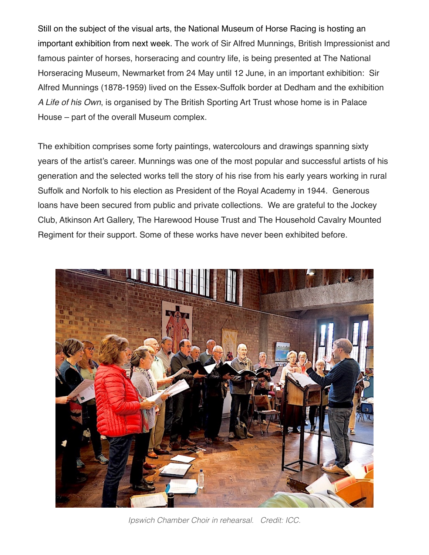Still on the subject of the visual arts, the National Museum of Horse Racing is hosting an important exhibition from next week. The work of Sir Alfred Munnings, British Impressionist and famous painter of horses, horseracing and country life, is being presented at The National Horseracing Museum, Newmarket from 24 May until 12 June, in an important exhibition: Sir Alfred Munnings (1878-1959) lived on the Essex-Suffolk border at Dedham and the exhibition *A Life of his Own*, is organised by The British Sporting Art Trust whose home is in Palace House – part of the overall Museum complex.

The exhibition comprises some forty paintings, watercolours and drawings spanning sixty years of the artist's career. Munnings was one of the most popular and successful artists of his generation and the selected works tell the story of his rise from his early years working in rural Suffolk and Norfolk to his election as President of the Royal Academy in 1944. Generous loans have been secured from public and private collections. We are grateful to the Jockey Club, Atkinson Art Gallery, The Harewood House Trust and The Household Cavalry Mounted Regiment for their support. Some of these works have never been exhibited before.



*Ipswich Chamber Choir in rehearsal. Credit: ICC.*